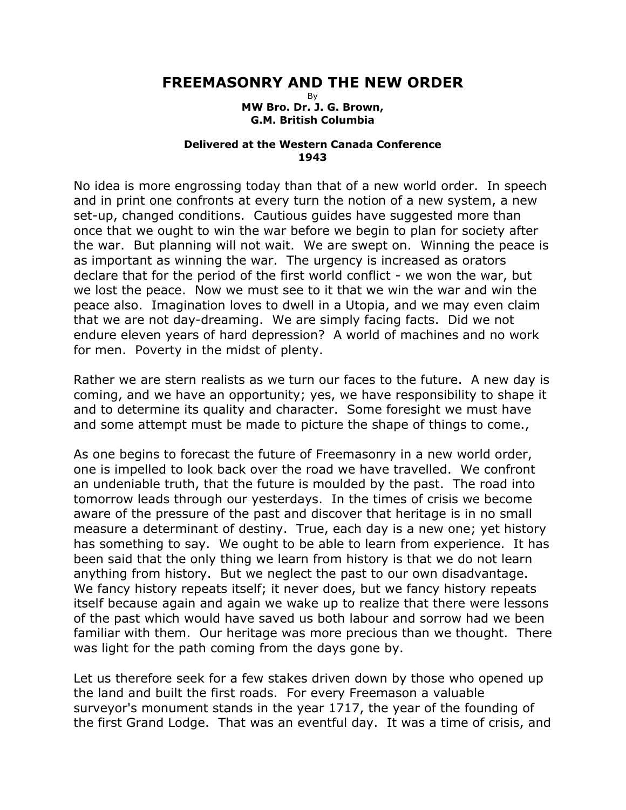## **FREEMASONRY AND THE NEW ORDER**

By **MW Bro. Dr. J. G. Brown, G.M. British Columbia**

## **Delivered at the Western Canada Conference 1943**

No idea is more engrossing today than that of a new world order. In speech and in print one confronts at every turn the notion of a new system, a new set-up, changed conditions. Cautious guides have suggested more than once that we ought to win the war before we begin to plan for society after the war. But planning will not wait. We are swept on. Winning the peace is as important as winning the war. The urgency is increased as orators declare that for the period of the first world conflict - we won the war, but we lost the peace. Now we must see to it that we win the war and win the peace also. Imagination loves to dwell in a Utopia, and we may even claim that we are not day-dreaming. We are simply facing facts. Did we not endure eleven years of hard depression? A world of machines and no work for men. Poverty in the midst of plenty.

Rather we are stern realists as we turn our faces to the future. A new day is coming, and we have an opportunity; yes, we have responsibility to shape it and to determine its quality and character. Some foresight we must have and some attempt must be made to picture the shape of things to come.,

As one begins to forecast the future of Freemasonry in a new world order, one is impelled to look back over the road we have travelled. We confront an undeniable truth, that the future is moulded by the past. The road into tomorrow leads through our yesterdays. In the times of crisis we become aware of the pressure of the past and discover that heritage is in no small measure a determinant of destiny. True, each day is a new one; yet history has something to say. We ought to be able to learn from experience. It has been said that the only thing we learn from history is that we do not learn anything from history. But we neglect the past to our own disadvantage. We fancy history repeats itself; it never does, but we fancy history repeats itself because again and again we wake up to realize that there were lessons of the past which would have saved us both labour and sorrow had we been familiar with them. Our heritage was more precious than we thought. There was light for the path coming from the days gone by.

Let us therefore seek for a few stakes driven down by those who opened up the land and built the first roads. For every Freemason a valuable surveyor's monument stands in the year 1717, the year of the founding of the first Grand Lodge. That was an eventful day. It was a time of crisis, and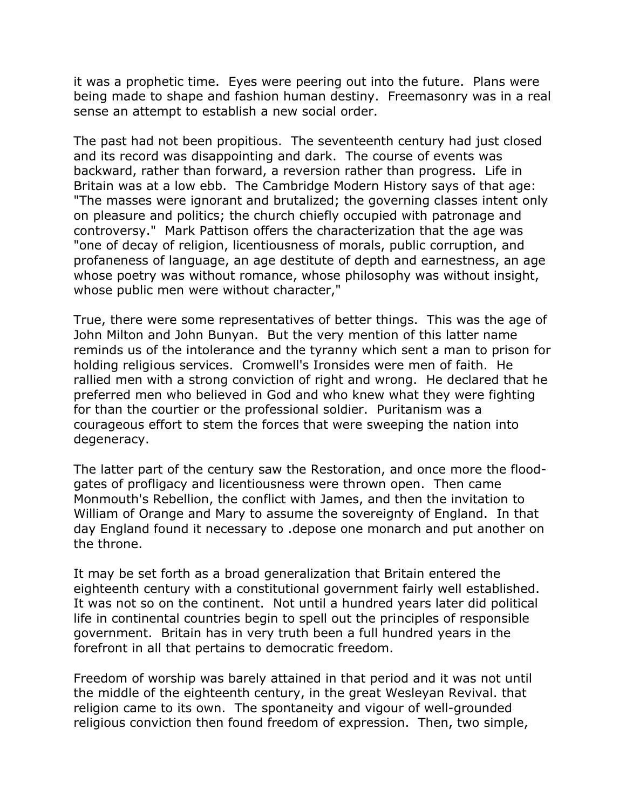it was a prophetic time. Eyes were peering out into the future. Plans were being made to shape and fashion human destiny. Freemasonry was in a real sense an attempt to establish a new social order.

The past had not been propitious. The seventeenth century had just closed and its record was disappointing and dark. The course of events was backward, rather than forward, a reversion rather than progress. Life in Britain was at a low ebb. The Cambridge Modern History says of that age: "The masses were ignorant and brutalized; the governing classes intent only on pleasure and politics; the church chiefly occupied with patronage and controversy." Mark Pattison offers the characterization that the age was "one of decay of religion, licentiousness of morals, public corruption, and profaneness of language, an age destitute of depth and earnestness, an age whose poetry was without romance, whose philosophy was without insight, whose public men were without character,"

True, there were some representatives of better things. This was the age of John Milton and John Bunyan. But the very mention of this latter name reminds us of the intolerance and the tyranny which sent a man to prison for holding religious services. Cromwell's Ironsides were men of faith. He rallied men with a strong conviction of right and wrong. He declared that he preferred men who believed in God and who knew what they were fighting for than the courtier or the professional soldier. Puritanism was a courageous effort to stem the forces that were sweeping the nation into degeneracy.

The latter part of the century saw the Restoration, and once more the floodgates of profligacy and licentiousness were thrown open. Then came Monmouth's Rebellion, the conflict with James, and then the invitation to William of Orange and Mary to assume the sovereignty of England. In that day England found it necessary to .depose one monarch and put another on the throne.

It may be set forth as a broad generalization that Britain entered the eighteenth century with a constitutional government fairly well established. It was not so on the continent. Not until a hundred years later did political life in continental countries begin to spell out the principles of responsible government. Britain has in very truth been a full hundred years in the forefront in all that pertains to democratic freedom.

Freedom of worship was barely attained in that period and it was not until the middle of the eighteenth century, in the great Wesleyan Revival. that religion came to its own. The spontaneity and vigour of well-grounded religious conviction then found freedom of expression. Then, two simple,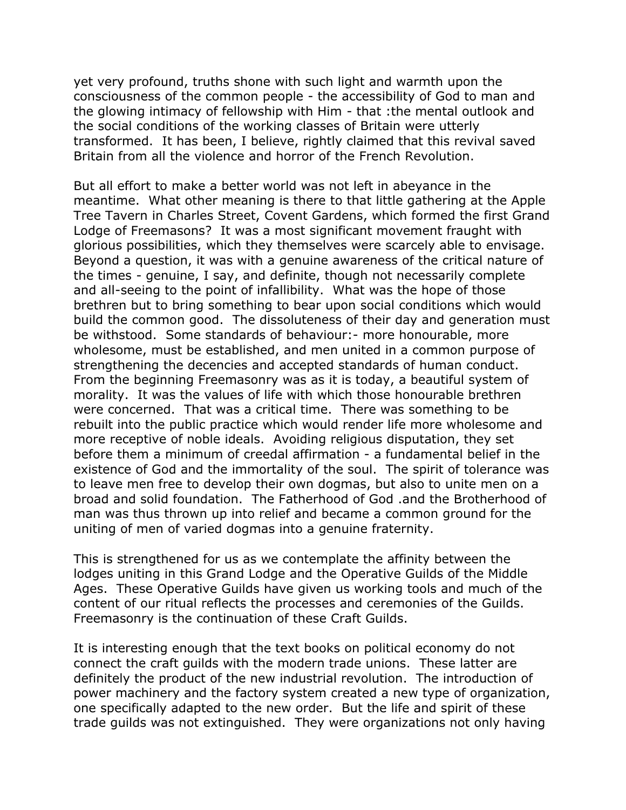yet very profound, truths shone with such light and warmth upon the consciousness of the common people - the accessibility of God to man and the glowing intimacy of fellowship with Him - that :the mental outlook and the social conditions of the working classes of Britain were utterly transformed. It has been, I believe, rightly claimed that this revival saved Britain from all the violence and horror of the French Revolution.

But all effort to make a better world was not left in abeyance in the meantime. What other meaning is there to that little gathering at the Apple Tree Tavern in Charles Street, Covent Gardens, which formed the first Grand Lodge of Freemasons? It was a most significant movement fraught with glorious possibilities, which they themselves were scarcely able to envisage. Beyond a question, it was with a genuine awareness of the critical nature of the times - genuine, I say, and definite, though not necessarily complete and all-seeing to the point of infallibility. What was the hope of those brethren but to bring something to bear upon social conditions which would build the common good. The dissoluteness of their day and generation must be withstood. Some standards of behaviour:- more honourable, more wholesome, must be established, and men united in a common purpose of strengthening the decencies and accepted standards of human conduct. From the beginning Freemasonry was as it is today, a beautiful system of morality. It was the values of life with which those honourable brethren were concerned. That was a critical time. There was something to be rebuilt into the public practice which would render life more wholesome and more receptive of noble ideals. Avoiding religious disputation, they set before them a minimum of creedal affirmation - a fundamental belief in the existence of God and the immortality of the soul. The spirit of tolerance was to leave men free to develop their own dogmas, but also to unite men on a broad and solid foundation. The Fatherhood of God .and the Brotherhood of man was thus thrown up into relief and became a common ground for the uniting of men of varied dogmas into a genuine fraternity.

This is strengthened for us as we contemplate the affinity between the lodges uniting in this Grand Lodge and the Operative Guilds of the Middle Ages. These Operative Guilds have given us working tools and much of the content of our ritual reflects the processes and ceremonies of the Guilds. Freemasonry is the continuation of these Craft Guilds.

It is interesting enough that the text books on political economy do not connect the craft guilds with the modern trade unions. These latter are definitely the product of the new industrial revolution. The introduction of power machinery and the factory system created a new type of organization, one specifically adapted to the new order. But the life and spirit of these trade guilds was not extinguished. They were organizations not only having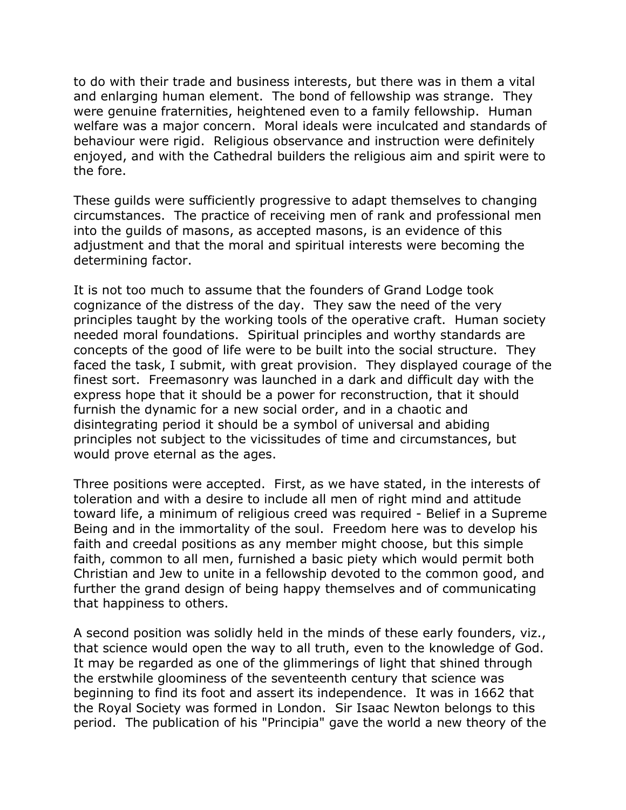to do with their trade and business interests, but there was in them a vital and enlarging human element. The bond of fellowship was strange. They were genuine fraternities, heightened even to a family fellowship. Human welfare was a major concern. Moral ideals were inculcated and standards of behaviour were rigid. Religious observance and instruction were definitely enjoyed, and with the Cathedral builders the religious aim and spirit were to the fore.

These guilds were sufficiently progressive to adapt themselves to changing circumstances. The practice of receiving men of rank and professional men into the guilds of masons, as accepted masons, is an evidence of this adjustment and that the moral and spiritual interests were becoming the determining factor.

It is not too much to assume that the founders of Grand Lodge took cognizance of the distress of the day. They saw the need of the very principles taught by the working tools of the operative craft. Human society needed moral foundations. Spiritual principles and worthy standards are concepts of the good of life were to be built into the social structure. They faced the task, I submit, with great provision. They displayed courage of the finest sort. Freemasonry was launched in a dark and difficult day with the express hope that it should be a power for reconstruction, that it should furnish the dynamic for a new social order, and in a chaotic and disintegrating period it should be a symbol of universal and abiding principles not subject to the vicissitudes of time and circumstances, but would prove eternal as the ages.

Three positions were accepted. First, as we have stated, in the interests of toleration and with a desire to include all men of right mind and attitude toward life, a minimum of religious creed was required - Belief in a Supreme Being and in the immortality of the soul. Freedom here was to develop his faith and creedal positions as any member might choose, but this simple faith, common to all men, furnished a basic piety which would permit both Christian and Jew to unite in a fellowship devoted to the common good, and further the grand design of being happy themselves and of communicating that happiness to others.

A second position was solidly held in the minds of these early founders, viz., that science would open the way to all truth, even to the knowledge of God. It may be regarded as one of the glimmerings of light that shined through the erstwhile gloominess of the seventeenth century that science was beginning to find its foot and assert its independence. It was in 1662 that the Royal Society was formed in London. Sir Isaac Newton belongs to this period. The publication of his "Principia" gave the world a new theory of the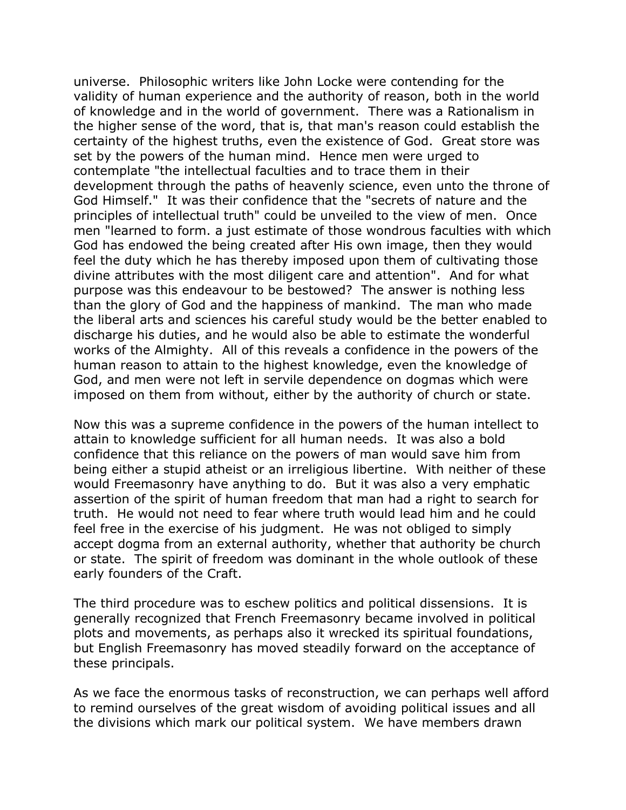universe. Philosophic writers like John Locke were contending for the validity of human experience and the authority of reason, both in the world of knowledge and in the world of government. There was a Rationalism in the higher sense of the word, that is, that man's reason could establish the certainty of the highest truths, even the existence of God. Great store was set by the powers of the human mind. Hence men were urged to contemplate "the intellectual faculties and to trace them in their development through the paths of heavenly science, even unto the throne of God Himself." It was their confidence that the "secrets of nature and the principles of intellectual truth" could be unveiled to the view of men. Once men "learned to form. a just estimate of those wondrous faculties with which God has endowed the being created after His own image, then they would feel the duty which he has thereby imposed upon them of cultivating those divine attributes with the most diligent care and attention". And for what purpose was this endeavour to be bestowed? The answer is nothing less than the glory of God and the happiness of mankind. The man who made the liberal arts and sciences his careful study would be the better enabled to discharge his duties, and he would also be able to estimate the wonderful works of the Almighty. All of this reveals a confidence in the powers of the human reason to attain to the highest knowledge, even the knowledge of God, and men were not left in servile dependence on dogmas which were imposed on them from without, either by the authority of church or state.

Now this was a supreme confidence in the powers of the human intellect to attain to knowledge sufficient for all human needs. It was also a bold confidence that this reliance on the powers of man would save him from being either a stupid atheist or an irreligious libertine. With neither of these would Freemasonry have anything to do. But it was also a very emphatic assertion of the spirit of human freedom that man had a right to search for truth. He would not need to fear where truth would lead him and he could feel free in the exercise of his judgment. He was not obliged to simply accept dogma from an external authority, whether that authority be church or state. The spirit of freedom was dominant in the whole outlook of these early founders of the Craft.

The third procedure was to eschew politics and political dissensions. It is generally recognized that French Freemasonry became involved in political plots and movements, as perhaps also it wrecked its spiritual foundations, but English Freemasonry has moved steadily forward on the acceptance of these principals.

As we face the enormous tasks of reconstruction, we can perhaps well afford to remind ourselves of the great wisdom of avoiding political issues and all the divisions which mark our political system. We have members drawn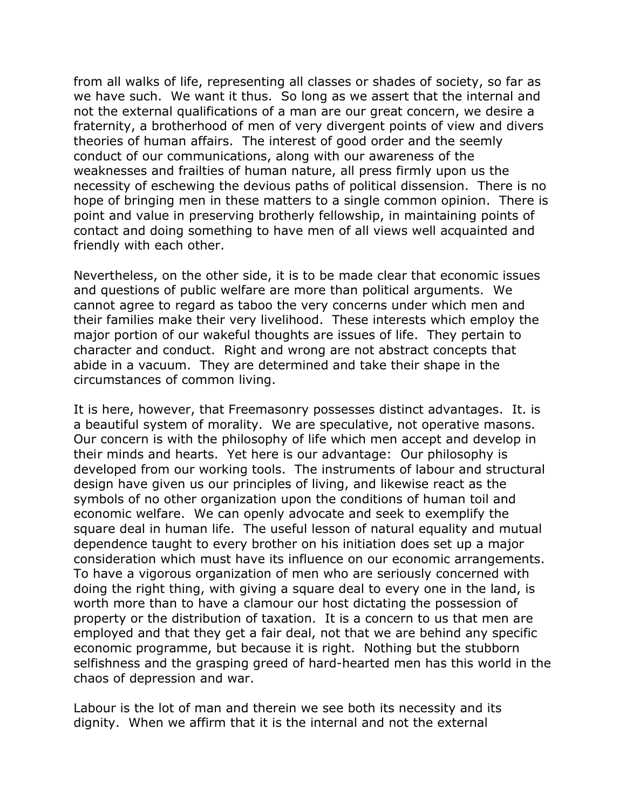from all walks of life, representing all classes or shades of society, so far as we have such. We want it thus. So long as we assert that the internal and not the external qualifications of a man are our great concern, we desire a fraternity, a brotherhood of men of very divergent points of view and divers theories of human affairs. The interest of good order and the seemly conduct of our communications, along with our awareness of the weaknesses and frailties of human nature, all press firmly upon us the necessity of eschewing the devious paths of political dissension. There is no hope of bringing men in these matters to a single common opinion. There is point and value in preserving brotherly fellowship, in maintaining points of contact and doing something to have men of all views well acquainted and friendly with each other.

Nevertheless, on the other side, it is to be made clear that economic issues and questions of public welfare are more than political arguments. We cannot agree to regard as taboo the very concerns under which men and their families make their very livelihood. These interests which employ the major portion of our wakeful thoughts are issues of life. They pertain to character and conduct. Right and wrong are not abstract concepts that abide in a vacuum. They are determined and take their shape in the circumstances of common living.

It is here, however, that Freemasonry possesses distinct advantages. It. is a beautiful system of morality. We are speculative, not operative masons. Our concern is with the philosophy of life which men accept and develop in their minds and hearts. Yet here is our advantage: Our philosophy is developed from our working tools. The instruments of labour and structural design have given us our principles of living, and likewise react as the symbols of no other organization upon the conditions of human toil and economic welfare. We can openly advocate and seek to exemplify the square deal in human life. The useful lesson of natural equality and mutual dependence taught to every brother on his initiation does set up a major consideration which must have its influence on our economic arrangements. To have a vigorous organization of men who are seriously concerned with doing the right thing, with giving a square deal to every one in the land, is worth more than to have a clamour our host dictating the possession of property or the distribution of taxation. It is a concern to us that men are employed and that they get a fair deal, not that we are behind any specific economic programme, but because it is right. Nothing but the stubborn selfishness and the grasping greed of hard-hearted men has this world in the chaos of depression and war.

Labour is the lot of man and therein we see both its necessity and its dignity. When we affirm that it is the internal and not the external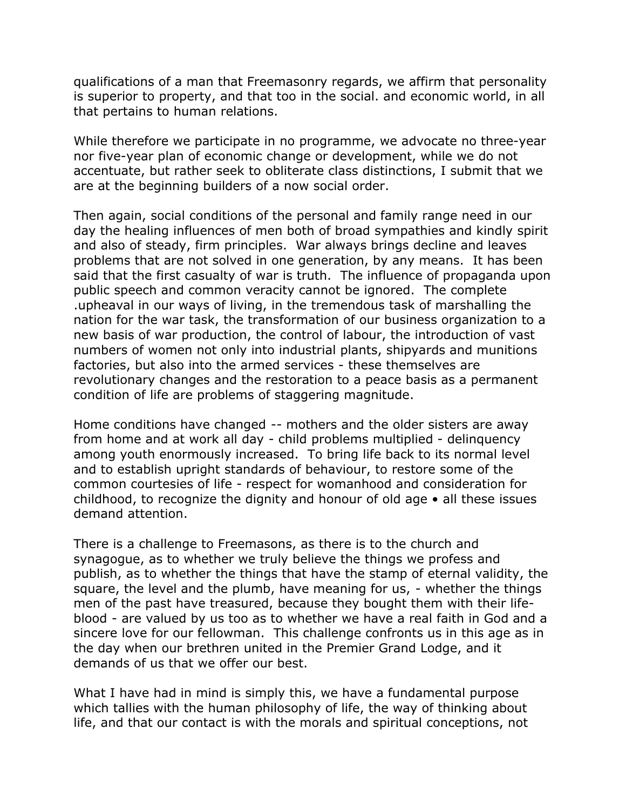qualifications of a man that Freemasonry regards, we affirm that personality is superior to property, and that too in the social. and economic world, in all that pertains to human relations.

While therefore we participate in no programme, we advocate no three-year nor five-year plan of economic change or development, while we do not accentuate, but rather seek to obliterate class distinctions, I submit that we are at the beginning builders of a now social order.

Then again, social conditions of the personal and family range need in our day the healing influences of men both of broad sympathies and kindly spirit and also of steady, firm principles. War always brings decline and leaves problems that are not solved in one generation, by any means. It has been said that the first casualty of war is truth. The influence of propaganda upon public speech and common veracity cannot be ignored. The complete .upheaval in our ways of living, in the tremendous task of marshalling the nation for the war task, the transformation of our business organization to a new basis of war production, the control of labour, the introduction of vast numbers of women not only into industrial plants, shipyards and munitions factories, but also into the armed services - these themselves are revolutionary changes and the restoration to a peace basis as a permanent condition of life are problems of staggering magnitude.

Home conditions have changed -- mothers and the older sisters are away from home and at work all day - child problems multiplied - delinquency among youth enormously increased. To bring life back to its normal level and to establish upright standards of behaviour, to restore some of the common courtesies of life - respect for womanhood and consideration for childhood, to recognize the dignity and honour of old age • all these issues demand attention.

There is a challenge to Freemasons, as there is to the church and synagogue, as to whether we truly believe the things we profess and publish, as to whether the things that have the stamp of eternal validity, the square, the level and the plumb, have meaning for us, - whether the things men of the past have treasured, because they bought them with their lifeblood - are valued by us too as to whether we have a real faith in God and a sincere love for our fellowman. This challenge confronts us in this age as in the day when our brethren united in the Premier Grand Lodge, and it demands of us that we offer our best.

What I have had in mind is simply this, we have a fundamental purpose which tallies with the human philosophy of life, the way of thinking about life, and that our contact is with the morals and spiritual conceptions, not